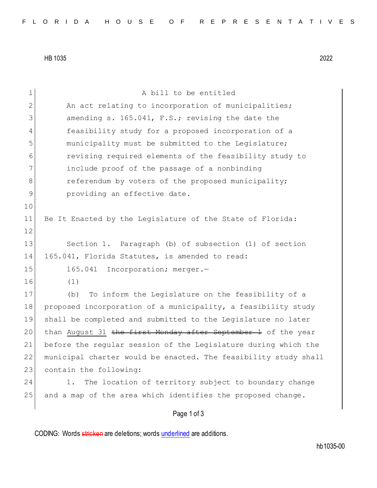HB 1035 2022

| 1  | A bill to be entitled                                           |
|----|-----------------------------------------------------------------|
| 2  | An act relating to incorporation of municipalities;             |
| 3  | amending s. 165.041, F.S.; revising the date the                |
| 4  | feasibility study for a proposed incorporation of a             |
| 5  | municipality must be submitted to the Legislature;              |
| 6  | revising required elements of the feasibility study to          |
| 7  | include proof of the passage of a nonbinding                    |
| 8  | referendum by voters of the proposed municipality;              |
| 9  | providing an effective date.                                    |
| 10 |                                                                 |
| 11 | Be It Enacted by the Legislature of the State of Florida:       |
| 12 |                                                                 |
| 13 | Section 1. Paragraph (b) of subsection (1) of section           |
| 14 | 165.041, Florida Statutes, is amended to read:                  |
| 15 | 165.041 Incorporation; merger.-                                 |
| 16 | (1)                                                             |
| 17 | To inform the Legislature on the feasibility of a<br>(b)        |
| 18 | proposed incorporation of a municipality, a feasibility study   |
| 19 | shall be completed and submitted to the Legislature no later    |
| 20 | than August 31 the first Monday after September 1 of the year   |
| 21 | before the reqular session of the Legislature during which the  |
| 22 | municipal charter would be enacted. The feasibility study shall |
| 23 | contain the following:                                          |
| 24 | The location of territory subject to boundary change<br>1.      |
| 25 | and a map of the area which identifies the proposed change.     |
|    |                                                                 |

## Page 1 of 3

CODING: Words stricken are deletions; words underlined are additions.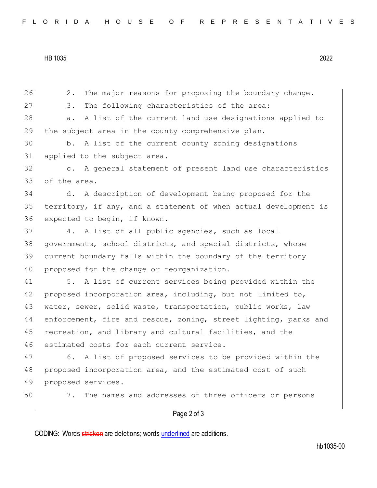HB 1035 2022

26 2. The major reasons for proposing the boundary change. 27 3. The following characteristics of the area: 28 a. A list of the current land use designations applied to 29 the subject area in the county comprehensive plan. 30 b. A list of the current county zoning designations 31 applied to the subject area. 32 c. A general statement of present land use characteristics 33 of the area. 34 d. A description of development being proposed for the 35 territory, if any, and a statement of when actual development is 36 expected to begin, if known. 37 4. A list of all public agencies, such as local 38 governments, school districts, and special districts, whose 39 current boundary falls within the boundary of the territory 40 proposed for the change or reorganization. 41 5. A list of current services being provided within the 42 proposed incorporation area, including, but not limited to, 43 | water, sewer, solid waste, transportation, public works, law 44 enforcement, fire and rescue, zoning, street lighting, parks and 45 recreation, and library and cultural facilities, and the 46 estimated costs for each current service. 47 6. A list of proposed services to be provided within the 48 proposed incorporation area, and the estimated cost of such 49 proposed services. 50 7. The names and addresses of three officers or persons

## Page 2 of 3

CODING: Words stricken are deletions; words underlined are additions.